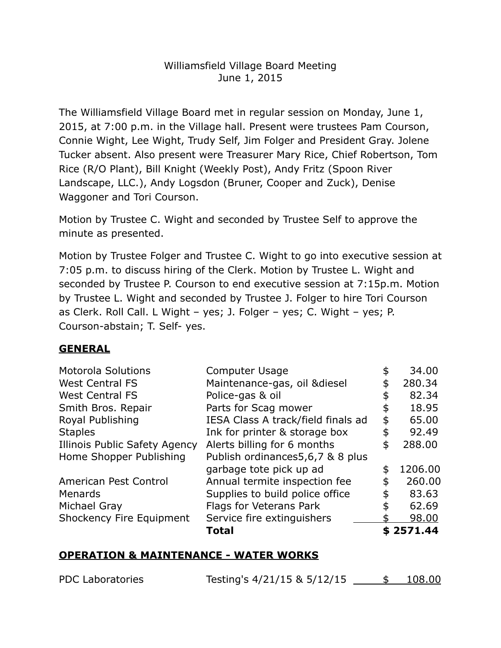# Williamsfield Village Board Meeting June 1, 2015

 The Williamsfield Village Board met in regular session on Monday, June 1, 2015, at 7:00 p.m. in the Village hall. Present were trustees Pam Courson, Connie Wight, Lee Wight, Trudy Self, Jim Folger and President Gray. Jolene Tucker absent. Also present were Treasurer Mary Rice, Chief Robertson, Tom Rice (R/O Plant), Bill Knight (Weekly Post), Andy Fritz (Spoon River Landscape, LLC.), Andy Logsdon (Bruner, Cooper and Zuck), Denise Waggoner and Tori Courson.

 Motion by Trustee C. Wight and seconded by Trustee Self to approve the minute as presented.

 Motion by Trustee Folger and Trustee C. Wight to go into executive session at 7:05 p.m. to discuss hiring of the Clerk. Motion by Trustee L. Wight and seconded by Trustee P. Courson to end executive session at 7:15p.m. Motion by Trustee L. Wight and seconded by Trustee J. Folger to hire Tori Courson as Clerk. Roll Call. L Wight – yes; J. Folger – yes; C. Wight – yes; P. Courson-abstain; T. Self- yes.

## **GENERAL**

| <b>Motorola Solutions</b>     | Computer Usage                     | \$<br>34.00   |
|-------------------------------|------------------------------------|---------------|
| <b>West Central FS</b>        | Maintenance-gas, oil & diesel      | \$<br>280.34  |
| <b>West Central FS</b>        | Police-gas & oil                   | \$<br>82.34   |
| Smith Bros. Repair            | Parts for Scag mower               | \$<br>18.95   |
| Royal Publishing              | IESA Class A track/field finals ad | \$<br>65.00   |
| <b>Staples</b>                | Ink for printer & storage box      | \$<br>92.49   |
| Illinois Public Safety Agency | Alerts billing for 6 months        | \$<br>288.00  |
| Home Shopper Publishing       | Publish ordinances5,6,7 & 8 plus   |               |
|                               | garbage tote pick up ad            | \$<br>1206.00 |
| American Pest Control         | Annual termite inspection fee      | \$<br>260,00  |
| Menards                       | Supplies to build police office    | \$<br>83.63   |
| Michael Gray                  | Flags for Veterans Park            | \$<br>62.69   |
| Shockency Fire Equipment      | Service fire extinguishers         | 98.00         |
|                               | <b>Total</b>                       | \$2571.44     |

# **OPERATION & MAINTENANCE - WATER WORKS**

| <b>PDC Laboratories</b> | Testing's 4/21/15 & 5/12/15 | 108.00 |  |
|-------------------------|-----------------------------|--------|--|
|                         |                             |        |  |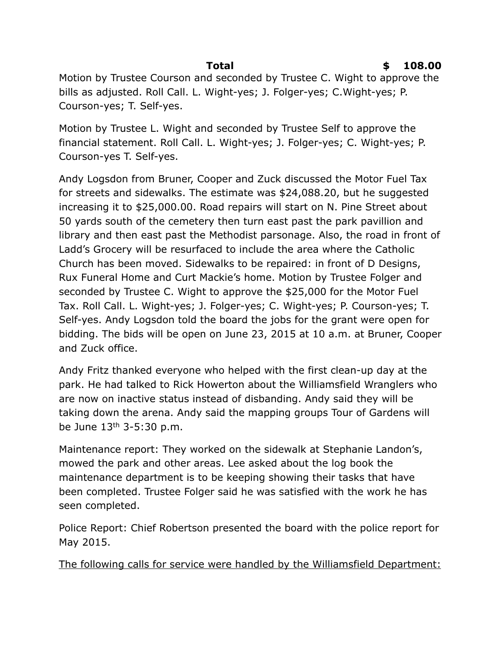Motion by Trustee Courson and seconded by Trustee C. Wight to approve the bills as adjusted. Roll Call. L. Wight-yes; J. Folger-yes; C.Wight-yes; P. Courson-yes; T. Self-yes.

 Motion by Trustee L. Wight and seconded by Trustee Self to approve the financial statement. Roll Call. L. Wight-yes; J. Folger-yes; C. Wight-yes; P. Courson-yes T. Self-yes.

 Andy Logsdon from Bruner, Cooper and Zuck discussed the Motor Fuel Tax for streets and sidewalks. The estimate was [\\$24,088.20](https://24,088.20), but he suggested increasing it to \$[25,000.00.](https://25,000.00) Road repairs will start on N. Pine Street about 50 yards south of the cemetery then turn east past the park pavillion and library and then east past the Methodist parsonage. Also, the road in front of Ladd's Grocery will be resurfaced to include the area where the Catholic Church has been moved. Sidewalks to be repaired: in front of D Designs, Rux Funeral Home and Curt Mackie's home. Motion by Trustee Folger and seconded by Trustee C. Wight to approve the \$25,000 for the Motor Fuel Tax. Roll Call. L. Wight-yes; J. Folger-yes; C. Wight-yes; P. Courson-yes; T. Self-yes. Andy Logsdon told the board the jobs for the grant were open for bidding. The bids will be open on June 23, 2015 at 10 a.m. at Bruner, Cooper and Zuck office.

 Andy Fritz thanked everyone who helped with the first clean-up day at the park. He had talked to Rick Howerton about the Williamsfield Wranglers who are now on inactive status instead of disbanding. Andy said they will be taking down the arena. Andy said the mapping groups Tour of Gardens will be June 13th 3-5:30 p.m.

 Maintenance report: They worked on the sidewalk at Stephanie Landon's, mowed the park and other areas. Lee asked about the log book the maintenance department is to be keeping showing their tasks that have been completed. Trustee Folger said he was satisfied with the work he has seen completed.

seen completed.<br>Police Report: Chief Robertson presented the board with the police report for May 2015.

The following calls for service were handled by the Williamsfield Department:

## **Total**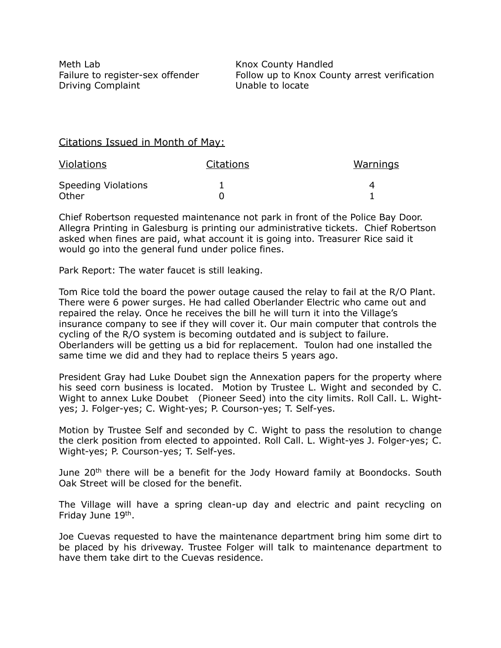Meth Lab Failure to register-sex offender Driving Complaint **Unable to locate** 

Knox County Handled Follow up to Knox County arrest verification

#### Citations Issued in Month of May:

| <b>Violations</b>          | <b>Citations</b> | Warnings |
|----------------------------|------------------|----------|
| <b>Speeding Violations</b> |                  |          |
| Other                      |                  |          |

 Chief Robertson requested maintenance not park in front of the Police Bay Door. Allegra Printing in Galesburg is printing our administrative tickets. Chief Robertson asked when fines are paid, what account it is going into. Treasurer Rice said it would go into the general fund under police fines.

Park Report: The water faucet is still leaking.

 Tom Rice told the board the power outage caused the relay to fail at the R/O Plant. There were 6 power surges. He had called Oberlander Electric who came out and repaired the relay. Once he receives the bill he will turn it into the Village's insurance company to see if they will cover it. Our main computer that controls the cycling of the R/O system is becoming outdated and is subject to failure. Oberlanders will be getting us a bid for replacement. Toulon had one installed the same time we did and they had to replace theirs 5 years ago.

 President Gray had Luke Doubet sign the Annexation papers for the property where his seed corn business is located. Motion by Trustee L. Wight and seconded by C. Wight to annex Luke Doubet (Pioneer Seed) into the city limits. Roll Call. L. Wight-yes; J. Folger-yes; C. Wight-yes; P. Courson-yes; T. Self-yes.

 Motion by Trustee Self and seconded by C. Wight to pass the resolution to change the clerk position from elected to appointed. Roll Call. L. Wight-yes J. Folger-yes; C. Wight-yes; P. Courson-yes; T. Self-yes.

June 20<sup>th</sup> there will be a benefit for the Jody Howard family at Boondocks. South Oak Street will be closed for the benefit.

 The Village will have a spring clean-up day and electric and paint recycling on Friday June 19<sup>th</sup>.

 Joe Cuevas requested to have the maintenance department bring him some dirt to be placed by his driveway. Trustee Folger will talk to maintenance department to have them take dirt to the Cuevas residence.